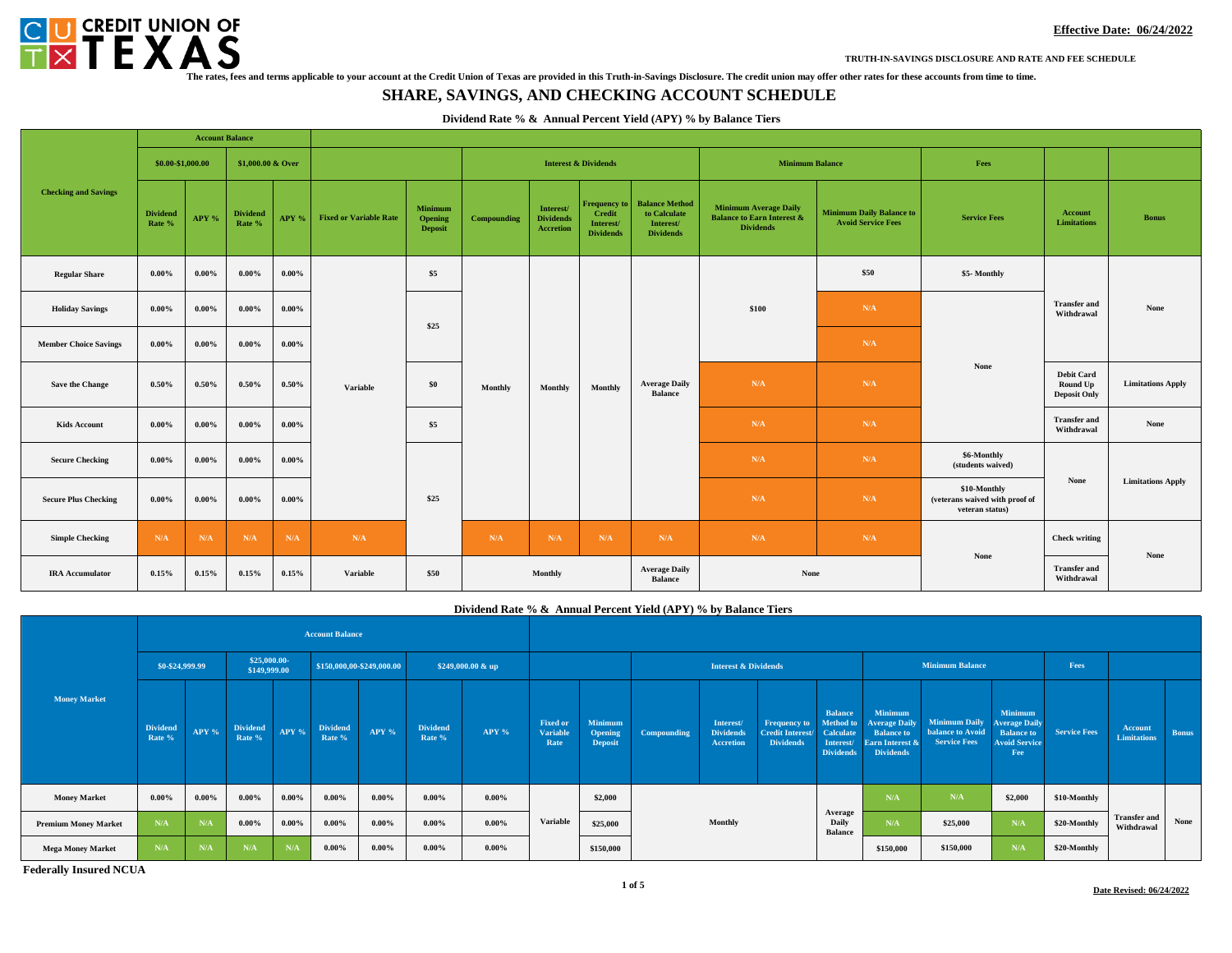

**TRUTH-IN-SAVINGS DISCLOSURE AND RATE AND FEE SCHEDULE**

## **SHARE, SAVINGS, AND CHECKING ACCOUNT SCHEDULE**

### **Dividend Rate % & Annual Percent Yield (APY) % by Balance Tiers**

|                              |                           |          | <b>Account Balance</b>             |          |                               |                                      |             |                                                                                                              |         |                                                                        |                                                                                           |                                                              |                                                                   |                                                      |                          |
|------------------------------|---------------------------|----------|------------------------------------|----------|-------------------------------|--------------------------------------|-------------|--------------------------------------------------------------------------------------------------------------|---------|------------------------------------------------------------------------|-------------------------------------------------------------------------------------------|--------------------------------------------------------------|-------------------------------------------------------------------|------------------------------------------------------|--------------------------|
|                              | \$0.00-\$1,000.00         |          | \$1,000,00 & Over                  |          |                               |                                      |             | <b>Interest &amp; Dividends</b>                                                                              |         | <b>Minimum Balance</b>                                                 |                                                                                           | Fees                                                         |                                                                   |                                                      |                          |
| <b>Checking and Savings</b>  | <b>Dividend</b><br>Rate % | APY %    | <b>Dividend</b><br>APY %<br>Rate % |          | <b>Fixed or Variable Rate</b> | Minimum<br>Opening<br><b>Deposit</b> | Compounding | <b>Frequency to</b><br>Interest/<br>Credit<br><b>Dividends</b><br>Interest/<br>Accretion<br><b>Dividends</b> |         | <b>Balance Method</b><br>to Calculate<br>Interest/<br><b>Dividends</b> | <b>Minimum Average Daily</b><br><b>Balance to Earn Interest &amp;</b><br><b>Dividends</b> | <b>Minimum Daily Balance to</b><br><b>Avoid Service Fees</b> | <b>Service Fees</b>                                               | <b>Account</b><br><b>Limitations</b>                 | <b>Bonus</b>             |
| <b>Regular Share</b>         | $0.00\%$                  | $0.00\%$ | $0.00\%$                           | $0.00\%$ |                               | \$5                                  |             |                                                                                                              |         |                                                                        |                                                                                           | \$50                                                         | \$5-Monthly                                                       | <b>Transfer and</b><br>Withdrawal                    | None                     |
| <b>Holiday Savings</b>       | $0.00\%$                  | $0.00\%$ | $0.00\%$                           | $0.00\%$ |                               |                                      | Monthly     |                                                                                                              |         |                                                                        | \$100                                                                                     | N/A                                                          |                                                                   |                                                      |                          |
| <b>Member Choice Savings</b> | $0.00\%$                  | $0.00\%$ | $0.00\%$                           | $0.00\%$ |                               | \$25                                 |             | Monthly                                                                                                      | Monthly |                                                                        |                                                                                           | N/A                                                          |                                                                   |                                                      |                          |
| Save the Change              | 0.50%                     | 0.50%    | $0.50\%$                           | 0.50%    | <b>Variable</b>               | \$0                                  |             |                                                                                                              |         | <b>Average Daily</b><br><b>Balance</b>                                 | N/A                                                                                       | N/A                                                          | None                                                              | <b>Debit Card</b><br>Round Up<br><b>Deposit Only</b> | <b>Limitations Apply</b> |
| <b>Kids Account</b>          | $0.00\%$                  | $0.00\%$ | $0.00\%$                           | $0.00\%$ |                               | \$5                                  |             |                                                                                                              |         |                                                                        | N/A                                                                                       | N/A                                                          |                                                                   | <b>Transfer and</b><br>Withdrawal                    | None                     |
| <b>Secure Checking</b>       | $0.00\%$                  | $0.00\%$ | $0.00\%$                           | $0.00\%$ |                               |                                      |             |                                                                                                              |         |                                                                        | N/A                                                                                       | N/A                                                          | \$6-Monthly<br>(students waived)                                  |                                                      | <b>Limitations Apply</b> |
| <b>Secure Plus Checking</b>  | $0.00\%$                  | $0.00\%$ | $0.00\%$                           | $0.00\%$ |                               | \$25                                 |             |                                                                                                              |         |                                                                        | N/A                                                                                       | N/A                                                          | \$10-Monthly<br>(veterans waived with proof of<br>veteran status) | None                                                 |                          |
| <b>Simple Checking</b>       | N/A                       | N/A      | N/A                                | N/A      | N/A                           |                                      | N/A         | N/A                                                                                                          | N/A     | N/A                                                                    | N/A                                                                                       | N/A                                                          |                                                                   | <b>Check writing</b>                                 | None                     |
| <b>IRA</b> Accumulator       | 0.15%                     | 0.15%    | 0.15%                              | 0.15%    | Variable                      | \$50                                 |             | Monthly                                                                                                      |         | <b>Average Daily</b><br><b>Balance</b>                                 | None                                                                                      |                                                              | None                                                              | <b>Transfer and</b><br>Withdrawal                    |                          |

|                             |                           |          |                              |          |                           |                           |                           | Dividend Rate % & Annual Percent Yield (APY) % by Balance Tiers |                                     |                                             |             |                                                   |                                                                    |                                                                                  |                                                                                                    |                                                                        |                                                                                     |                     |  |
|-----------------------------|---------------------------|----------|------------------------------|----------|---------------------------|---------------------------|---------------------------|-----------------------------------------------------------------|-------------------------------------|---------------------------------------------|-------------|---------------------------------------------------|--------------------------------------------------------------------|----------------------------------------------------------------------------------|----------------------------------------------------------------------------------------------------|------------------------------------------------------------------------|-------------------------------------------------------------------------------------|---------------------|--|
|                             |                           |          |                              |          | <b>Account Balance</b>    |                           |                           |                                                                 |                                     |                                             |             |                                                   |                                                                    |                                                                                  |                                                                                                    |                                                                        |                                                                                     |                     |  |
|                             | \$0-\$24,999.99           |          | \$25,000.00-<br>\$149,999.00 |          |                           | \$150,000,00-\$249,000.00 |                           | \$249,000.00 & up                                               |                                     | <b>Interest &amp; Dividends</b>             |             |                                                   | <b>Minimum Balance</b>                                             |                                                                                  | Fees                                                                                               |                                                                        |                                                                                     |                     |  |
| <b>Money Market</b>         | <b>Dividend</b><br>Rate % | APY %    | <b>Dividend</b><br>Rate %    | APY %    | <b>Dividend</b><br>Rate % | APY %                     | <b>Dividend</b><br>Rate % | APY %                                                           | <b>Fixed or</b><br>Variable<br>Rate | <b>Minimum</b><br>Opening<br><b>Deposit</b> | Compounding | Interest/<br><b>Dividends</b><br><b>Accretion</b> | <b>Frequency to</b><br><b>Credit Interest/</b><br><b>Dividends</b> | <b>Balance</b><br>Method to<br><b>Calculate</b><br>Interest/<br><b>Dividends</b> | <b>Minimum</b><br><b>Average Daily</b><br><b>Balance to</b><br>Earn Interest &<br><b>Dividends</b> | <b>Minimum Daily</b><br><b>balance to Avoid</b><br><b>Service Fees</b> | Minimum<br><b>Average Daily</b><br><b>Balance</b> to<br><b>Avoid Service</b><br>Fee | <b>Service Fees</b> |  |
| <b>Money Market</b>         | $0.00\%$                  | $0.00\%$ | $0.00\%$                     | $0.00\%$ | $0.00\%$                  | $0.00\%$                  | $0.00\%$                  | $0.00\%$                                                        |                                     | \$2,000                                     | Monthly     |                                                   |                                                                    |                                                                                  | N/A                                                                                                | N/A                                                                    | \$2,000                                                                             | \$10-Monthly        |  |
| <b>Premium Money Market</b> | N/A                       | N/A      | $0.00\%$                     | $0.00\%$ | $0.00\%$                  | $0.00\%$                  | $0.00\%$                  | $0.00\%$                                                        | <b>Variable</b>                     | \$25,000                                    |             |                                                   |                                                                    | Average<br>Daily<br><b>Balance</b>                                               | N/A                                                                                                | \$25,000                                                               | N/A                                                                                 | \$20-Monthly        |  |
| <b>Mega Money Market</b>    | N/A                       | N/A      | N/A                          | N/A      | $0.00\%$                  | $0.00\%$                  | $0.00\%$                  | $0.00\%$                                                        |                                     | \$150,000                                   |             |                                                   |                                                                    | \$150,000                                                                        | \$150,000                                                                                          | N/A                                                                    | \$20-Monthly                                                                        |                     |  |

**Federally Insured NCUA**

**Transfer and Withdrawal**

**Account Limitations Bonus**

**None**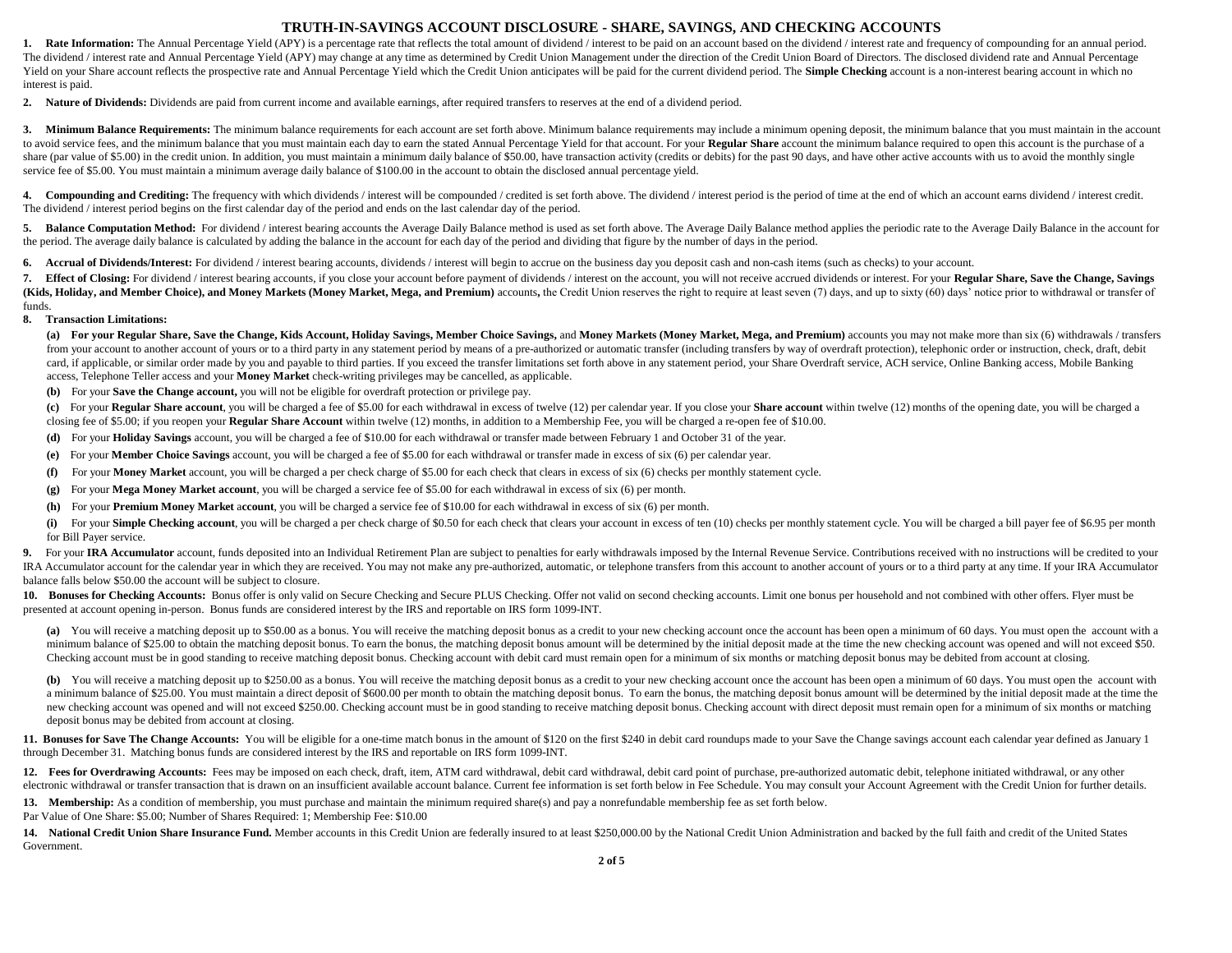### **TRUTH-IN-SAVINGS ACCOUNT DISCLOSURE - SHARE, SAVINGS, AND CHECKING ACCOUNTS**

1. Rate Information: The Annual Percentage Yield (APY) is a percentage rate that reflects the total amount of dividend / interest to be paid on an account based on the dividend / interest rate and frequency of compounding The dividend / interest rate and Annual Percentage Yield (APY) may change at any time as determined by Credit Union Management under the direction of the Credit Union Board of Directors. The disclosed dividend rate and Ann Yield on your Share account reflects the prospective rate and Annual Percentage Yield which the Credit Union anticipates will be paid for the current dividend period. The Simple Checking account is a non-interest bearing a interest is paid.

**2. Nature of Dividends:** Dividends are paid from current income and available earnings, after required transfers to reserves at the end of a dividend period.

3. Minimum Balance Requirements: The minimum balance requirements for each account are set forth above. Minimum balance requirements may include a minimum opening deposit, the minimum balance that you must maintain in the to avoid service fees, and the minimum balance that you must maintain each day to earn the stated Annual Percentage Yield for that account. For your Regular Share account the minimum balance required to open this account i share (par value of \$5.00) in the credit union. In addition, you must maintain a minimum daily balance of \$50.00, have transaction activity (credits or debits) for the past 90 days, and have other active accounts with us t service fee of \$5.00. You must maintain a minimum average daily balance of \$100.00 in the account to obtain the disclosed annual percentage yield.

4. Compounding and Crediting: The frequency with which dividends / interest will be compounded / credited is set forth above. The dividend / interest period is the period of time at the end of which an account earns divide The dividend / interest period begins on the first calendar day of the period and ends on the last calendar day of the period.

5. Balance Computation Method: For dividend / interest bearing accounts the Average Daily Balance method is used as set forth above. The Average Daily Balance method applies the periodic rate to the Average Daily Balance i the period. The average daily balance is calculated by adding the balance in the account for each day of the period and dividing that figure by the number of days in the period.

**6. Accrual of Dividends/Interest:** For dividend / interest bearing accounts, dividends / interest will begin to accrue on the business day you deposit cash and non-cash items (such as checks) to your account.

7. Effect of Closing: For dividend / interest bearing accounts, if you close your account before payment of dividends / interest on the account, you will not receive accrued dividends or interest. For your Regular Share, S (Kids, Holiday, and Member Choice), and Money Markets (Money Market, Mega, and Premium) accounts, the Credit Union reserves the right to require at least seven (7) days, and up to sixty (60) days' notice prior to withdrawa funds.

### **8. Transaction Limitations:**

(a) For your Regular Share, Save the Change, Kids Account, Holiday Savings, Member Choice Savings, and Money Markets (Money Market, Mega, and Premium) accounts you may not make more than six (6) withdrawals / transfers from your account to another account of yours or to a third party in any statement period by means of a pre-authorized or automatic transfer (including transfers by way of overdraft protection), telephonic order or instruc card, if applicable, or similar order made by you and payable to third parties. If you exceed the transfer limitations set forth above in any statement period, your Share Overdraft service, ACH service, Online Banking acce access, Telephone Teller access and your **Money Market** check-writing privileges may be cancelled, as applicable.

**(b)** For your **Save the Change account,** you will not be eligible for overdraft protection or privilege pay.

(c) For your Regular Share account, you will be charged a fee of \$5.00 for each withdrawal in excess of twelve (12) per calendar year. If you close your Share account within twelve (12) months of the opening date, you will closing fee of \$5.00; if you reopen your **Regular Share Account** within twelve (12) months, in addition to a Membership Fee, you will be charged a re-open fee of \$10.00.

**(d)** For your **Holiday Savings** account, you will be charged a fee of \$10.00 for each withdrawal or transfer made between February 1 and October 31 of the year.

- **(e)** For your **Member Choice Savings** account, you will be charged a fee of \$5.00 for each withdrawal or transfer made in excess of six (6) per calendar year.
- **(f)** For your **Money Market** account, you will be charged a per check charge of \$5.00 for each check that clears in excess of six (6) checks per monthly statement cycle.
- **(g)** For your **Mega Money Market account**, you will be charged a service fee of \$5.00 for each withdrawal in excess of six (6) per month.
- **(h)** For your **Premium Money Market** a**ccount**, you will be charged a service fee of \$10.00 for each withdrawal in excess of six (6) per month.

(i) For your Simple Checking account, you will be charged a per check charge of \$0.50 for each check that clears your account in excess of ten (10) checks per monthly statement cycle. You will be charged a bill payer fee o for Bill Payer service.

9. For your IRA Accumulator account, funds deposited into an Individual Retirement Plan are subject to penalties for early withdrawals imposed by the Internal Revenue Service. Contributions received with no instructions wi IRA Accumulator account for the calendar year in which they are received. You may not make any pre-authorized, automatic, or telephone transfers from this account to another account of yours or to a third party at any time balance falls below \$50.00 the account will be subject to closure.

10. Bonuses for Checking Accounts: Bonus offer is only valid on Secure Checking and Secure PLUS Checking. Offer not valid on second checking accounts. Limit one bonus per household and not combined with other offers. Flyer presented at account opening in-person. Bonus funds are considered interest by the IRS and reportable on IRS form 1099-INT.

(a) You will receive a matching deposit up to \$50.00 as a bonus. You will receive the matching deposit bonus as a credit to your new checking account once the account has been open a minimum of 60 days. You must open the a minimum balance of \$25.00 to obtain the matching deposit bonus. To earn the bonus, the matching deposit bonus amount will be determined by the initial deposit made at the time the new checking account was opened and will n Checking account must be in good standing to receive matching deposit bonus. Checking account with debit card must remain open for a minimum of six months or matching deposit bonus may be debited from account at closing.

(b) You will receive a matching deposit up to \$250.00 as a bonus. You will receive the matching deposit bonus as a credit to your new checking account once the account has been open a minimum of 60 days. You must open the a minimum balance of \$25.00. You must maintain a direct deposit of \$600.00 per month to obtain the matching deposit bonus. To earn the bonus, the matching deposit bonus amount will be determined by the initial deposit made new checking account was opened and will not exceed \$250.00. Checking account must be in good standing to receive matching deposit bonus. Checking account with direct deposit must remain open for a minimum of six months or deposit bonus may be debited from account at closing.

11. Bonuses for Save The Change Accounts: You will be eligible for a one-time match bonus in the amount of \$120 on the first \$240 in debit card roundups made to your Save the Change savings account each calendar year defin through December 31. Matching bonus funds are considered interest by the IRS and reportable on IRS form 1099-INT.

12. Fees for Overdrawing Accounts: Fees may be imposed on each check, draft, item, ATM card withdrawal, debit card withdrawal, debit card point of purchase, pre-authorized automatic debit, telephone initiated withdrawal, o electronic withdrawal or transfer transaction that is drawn on an insufficient available account balance. Current fee information is set forth below in Fee Schedule. You may consult your Account Agreement with the Credit U

13. Membership: As a condition of membership, you must purchase and maintain the minimum required share(s) and pay a nonrefundable membership fee as set forth below.

Par Value of One Share: \$5.00; Number of Shares Required: 1; Membership Fee: \$10.00

14. National Credit Union Share Insurance Fund. Member accounts in this Credit Union are federally insured to at least \$250,000.00 by the National Credit Union Administration and backed by the full faith and credit of the Government.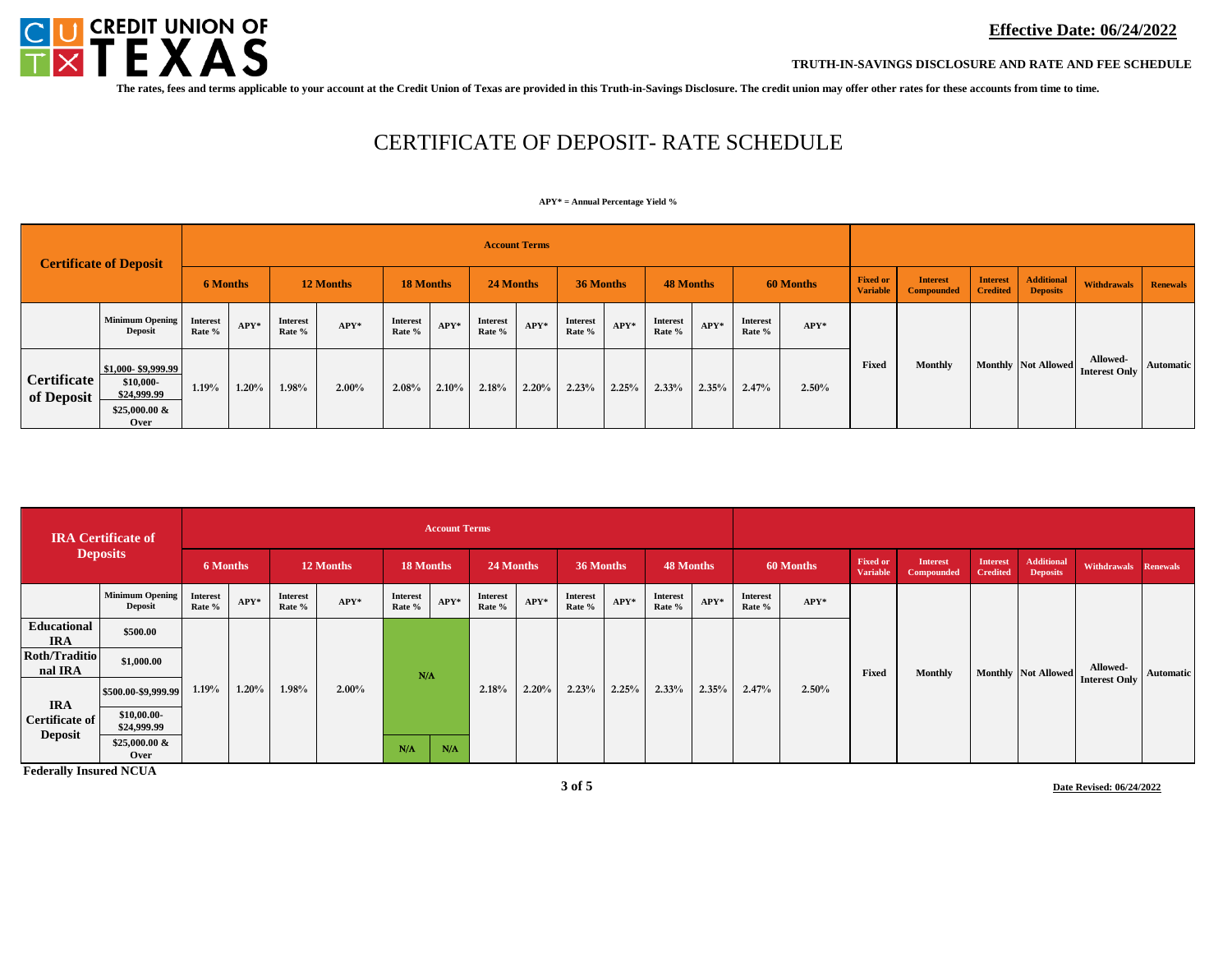

**TRUTH-IN-SAVINGS DISCLOSURE AND RATE AND FEE SCHEDULE**

**The rates, fees and terms applicable to your account at the Credit Union of Texas are provided in this Truth-in-Savings Disclosure. The credit union may offer other rates for these accounts from time to time.**

# CERTIFICATE OF DEPOSIT- RATE SCHEDULE

#### **APY\* = Annual Percentage Yield %**

| <b>Certificate of Deposit</b> |                                                                           |                    | <b>Account Terms</b> |                    |          |                    |       |                    |        |                    |        |                           |        |                           |           |                                    |                                      |                                    |                                      |                                  |                  |
|-------------------------------|---------------------------------------------------------------------------|--------------------|----------------------|--------------------|----------|--------------------|-------|--------------------|--------|--------------------|--------|---------------------------|--------|---------------------------|-----------|------------------------------------|--------------------------------------|------------------------------------|--------------------------------------|----------------------------------|------------------|
|                               |                                                                           | <b>6 Months</b>    |                      | 12 Months          |          | <b>18 Months</b>   |       | 24 Months          |        | 36 Months          |        | 48 Months                 |        |                           | 60 Months | <b>Fixed or</b><br><b>Variable</b> | <b>Interest</b><br><b>Compounded</b> | <b>Interest</b><br><b>Credited</b> | <b>Additional</b><br><b>Deposits</b> | <b>Renewals</b><br>Withdrawals   |                  |
|                               | <b>Minimum Opening</b><br><b>Deposit</b>                                  | Interest<br>Rate % | $APY*$               | Interest<br>Rate % | $APY*$   | Interest<br>Rate % | APY*  | Interest<br>Rate % | $APY*$ | Interest<br>Rate % | $APY*$ | <b>Interest</b><br>Rate % | $APY*$ | <b>Interest</b><br>Rate % | $APY*$    |                                    |                                      |                                    |                                      |                                  |                  |
| Certificate<br>of Deposit     | \$1,000-\$9,999.99<br>\$10,000-<br>\$24,999.99<br>$$25,000.00 \&$<br>Over | 1.19%              | 1.20%                | 1.98%              | $2.00\%$ | 2.08%              | 2.10% | 2.18%              | 2.20%  | 2.23%              | 2.25%  | 2.33%                     | 2.35%  | 2.47%                     | 2.50%     | Fixed                              | <b>Monthly</b>                       |                                    | Monthly Not Allowed                  | Allowed-<br><b>Interest Only</b> | <b>Automatic</b> |

| <b>IRA</b> Certificate of<br><b>Deposits</b> |                                          | <b>Account Terms</b>      |        |                           |        |                           |             |                           |        |                           |        |                           |       |                           |           |                                    |                                      |                                    |                                      |                      |                  |
|----------------------------------------------|------------------------------------------|---------------------------|--------|---------------------------|--------|---------------------------|-------------|---------------------------|--------|---------------------------|--------|---------------------------|-------|---------------------------|-----------|------------------------------------|--------------------------------------|------------------------------------|--------------------------------------|----------------------|------------------|
|                                              |                                          | 6 Months                  |        | 12 Months                 |        | 18 Months                 |             | 24 Months                 |        | 36 Months                 |        | 48 Months                 |       |                           | 60 Months | <b>Fixed or</b><br><b>Variable</b> | <b>Interest</b><br><b>Compounded</b> | <b>Interest</b><br><b>Credited</b> | <b>Additional</b><br><b>Deposits</b> | Withdrawals Renewals |                  |
|                                              | <b>Minimum Opening</b><br><b>Deposit</b> | <b>Interest</b><br>Rate % | $APY*$ | <b>Interest</b><br>Rate % | $APY*$ | <b>Interest</b><br>Rate % | $APY*$      | <b>Interest</b><br>Rate % | $APY*$ | <b>Interest</b><br>Rate % | $APY*$ | <b>Interest</b><br>Rate % | APY*  | <b>Interest</b><br>Rate % | $APY*$    |                                    |                                      |                                    |                                      |                      |                  |
| <b>Educational</b><br><b>IRA</b>             | \$500.00                                 |                           |        |                           |        |                           |             |                           |        |                           |        |                           |       |                           |           |                                    |                                      |                                    |                                      |                      |                  |
| <b>Roth/Traditio</b><br>nal IRA              | \$1,000.00                               |                           |        |                           |        | N/A                       |             |                           |        |                           |        |                           |       |                           |           | Fixed                              | Monthly                              |                                    | <b>Monthly</b> Not Allowed           | Allowed-             | <b>Automatic</b> |
| <b>IRA</b>                                   | \$500.00-\$9,999.99                      | 1.19%                     | 1.20%  | 1.98%                     | 2.00%  |                           |             | 2.18%                     | 2.20%  | 2.23%                     | 2.25%  | 2.33%                     | 2.35% | 2.47%                     | 2.50%     |                                    |                                      |                                    |                                      | <b>Interest Only</b> |                  |
| <b>Certificate of</b><br><b>Deposit</b>      | \$10,00.00<br>\$24,999.99                |                           |        |                           |        |                           |             |                           |        |                           |        |                           |       |                           |           |                                    |                                      |                                    |                                      |                      |                  |
|                                              | \$25,000.00 &<br>Over                    |                           |        |                           |        | $N/\Lambda$               | $N/\Lambda$ |                           |        |                           |        |                           |       |                           |           |                                    |                                      |                                    |                                      |                      |                  |

**Federally Insured NCUA**

**Date Revised: 06/24/2022**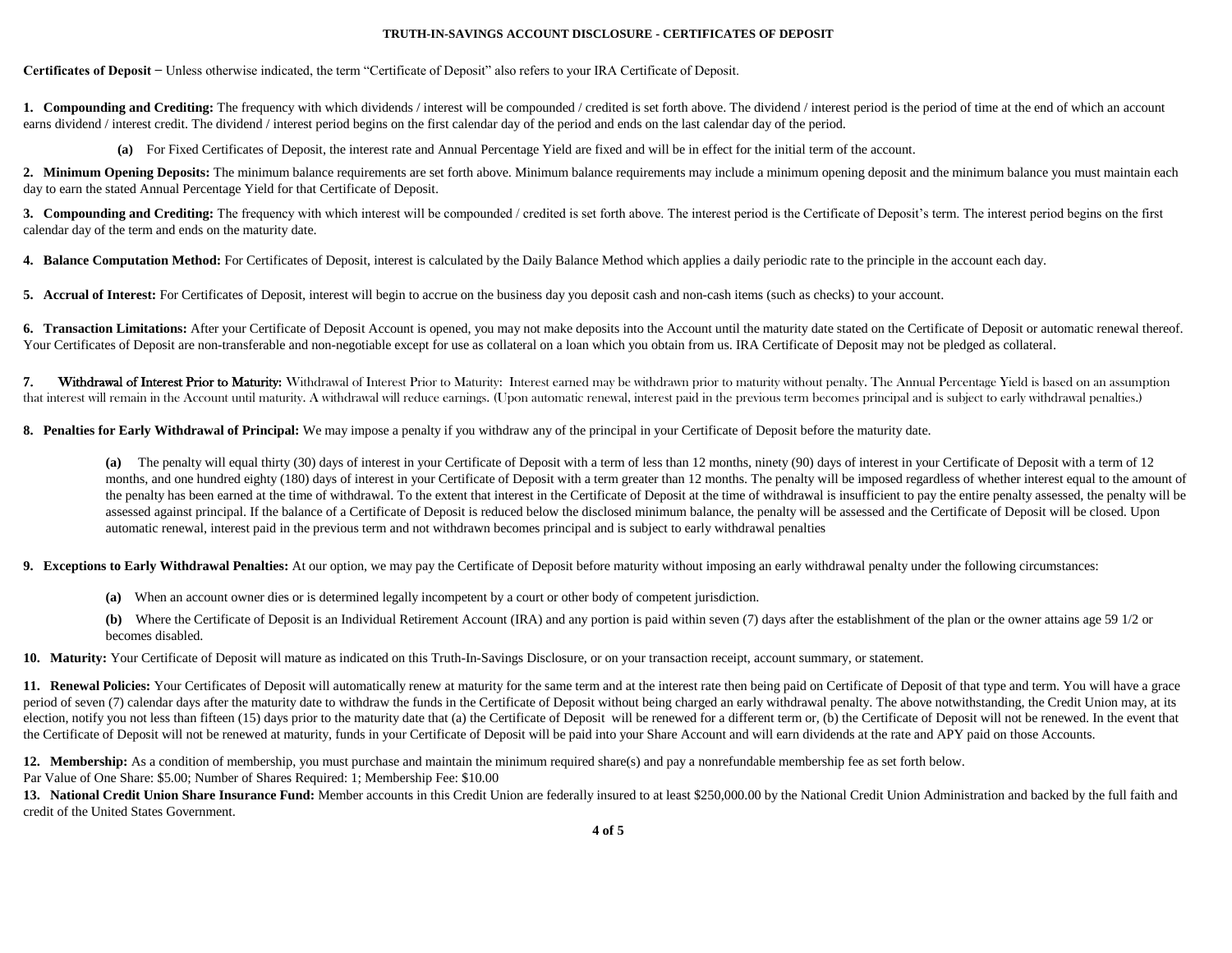### **TRUTH-IN-SAVINGS ACCOUNT DISCLOSURE - CERTIFICATES OF DEPOSIT**

**Certificates of Deposit −** Unless otherwise indicated, the term "Certificate of Deposit" also refers to your IRA Certificate of Deposit.

**1. Compounding and Crediting:** The frequency with which dividends / interest will be compounded / credited is set forth above. The dividend / interest period is the period of time at the end of which an account earns dividend / interest credit. The dividend / interest period begins on the first calendar day of the period and ends on the last calendar day of the period.

**(a)** For Fixed Certificates of Deposit, the interest rate and Annual Percentage Yield are fixed and will be in effect for the initial term of the account.

2. Minimum Opening Deposits: The minimum balance requirements are set forth above. Minimum balance requirements may include a minimum opening deposit and the minimum balance you must maintain each day to earn the stated Annual Percentage Yield for that Certificate of Deposit.

**3. Compounding and Crediting:** The frequency with which interest will be compounded / credited is set forth above. The interest period is the Certificate of Deposit's term. The interest period begins on the first calendar day of the term and ends on the maturity date.

**4. Balance Computation Method:** For Certificates of Deposit, interest is calculated by the Daily Balance Method which applies a daily periodic rate to the principle in the account each day.

**5. Accrual of Interest:** For Certificates of Deposit, interest will begin to accrue on the business day you deposit cash and non-cash items (such as checks) to your account.

**6. Transaction Limitations:** After your Certificate of Deposit Account is opened, you may not make deposits into the Account until the maturity date stated on the Certificate of Deposit or automatic renewal thereof. Your Certificates of Deposit are non-transferable and non-negotiable except for use as collateral on a loan which you obtain from us. IRA Certificate of Deposit may not be pledged as collateral.

7. Withdrawal of Interest Prior to Maturity: Withdrawal of Interest Prior to Maturity: Interest earned may be withdrawn prior to maturity without penalty. The Annual Percentage Yield is based on an assumption that interest will remain in the Account until maturity. A withdrawal will reduce earnings. (Upon automatic renewal, interest paid in the previous term becomes principal and is subject to early withdrawal penalties.)

**8. Penalties for Early Withdrawal of Principal:** We may impose a penalty if you withdraw any of the principal in your Certificate of Deposit before the maturity date.

**(a)** The penalty will equal thirty (30) days of interest in your Certificate of Deposit with a term of less than 12 months, ninety (90) days of interest in your Certificate of Deposit with a term of 12 months, and one hundred eighty (180) days of interest in your Certificate of Deposit with a term greater than 12 months. The penalty will be imposed regardless of whether interest equal to the amount of the penalty has been earned at the time of withdrawal. To the extent that interest in the Certificate of Deposit at the time of withdrawal is insufficient to pay the entire penalty assessed, the penalty will be assessed against principal. If the balance of a Certificate of Deposit is reduced below the disclosed minimum balance, the penalty will be assessed and the Certificate of Deposit will be closed. Upon automatic renewal, interest paid in the previous term and not withdrawn becomes principal and is subject to early withdrawal penalties

**9.** Exceptions to Early Withdrawal Penalties: At our option, we may pay the Certificate of Deposit before maturity without imposing an early withdrawal penalty under the following circumstances:

**(a)** When an account owner dies or is determined legally incompetent by a court or other body of competent jurisdiction.

**(b)** Where the Certificate of Deposit is an Individual Retirement Account (IRA) and any portion is paid within seven (7) days after the establishment of the plan or the owner attains age 59 1/2 or becomes disabled.

**10. Maturity:** Your Certificate of Deposit will mature as indicated on this Truth-In-Savings Disclosure, or on your transaction receipt, account summary, or statement.

**11. Renewal Policies:** Your Certificates of Deposit will automatically renew at maturity for the same term and at the interest rate then being paid on Certificate of Deposit of that type and term. You will have a grace period of seven (7) calendar days after the maturity date to withdraw the funds in the Certificate of Deposit without being charged an early withdrawal penalty. The above notwithstanding, the Credit Union may, at its election, notify you not less than fifteen (15) days prior to the maturity date that (a) the Certificate of Deposit will be renewed for a different term or, (b) the Certificate of Deposit will not be renewed. In the event the Certificate of Deposit will not be renewed at maturity, funds in your Certificate of Deposit will be paid into your Share Account and will earn dividends at the rate and APY paid on those Accounts.

12. Membership: As a condition of membership, you must purchase and maintain the minimum required share(s) and pay a nonrefundable membership fee as set forth below.

Par Value of One Share: \$5.00; Number of Shares Required: 1; Membership Fee: \$10.00

**13. National Credit Union Share Insurance Fund:** Member accounts in this Credit Union are federally insured to at least \$250,000.00 by the National Credit Union Administration and backed by the full faith and credit of the United States Government.